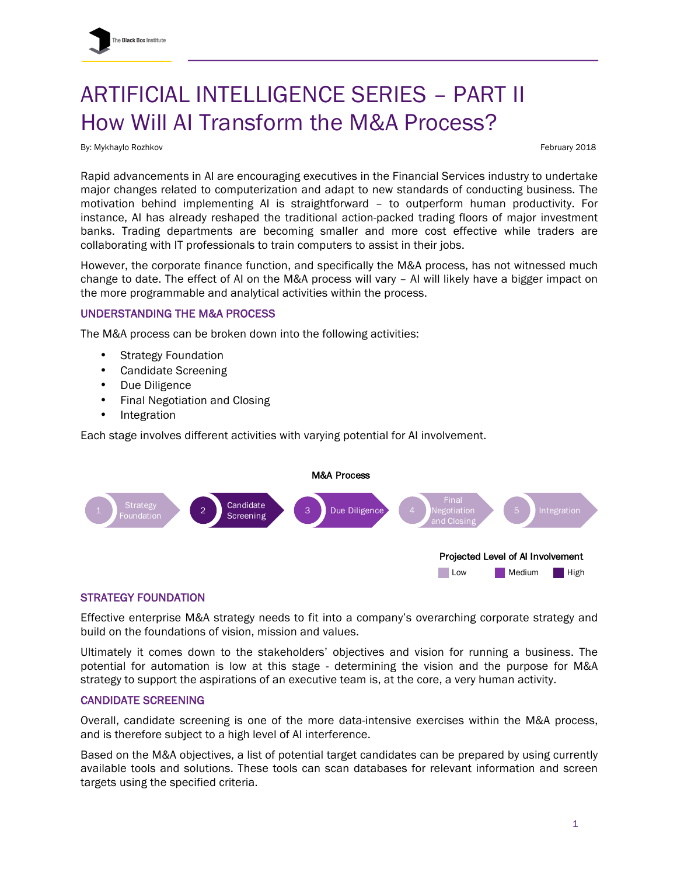# ARTIFICIAL INTELLIGENCE SERIES – PART II How Will AI Transform the M&A Process?

By: Mykhaylo Rozhkov February 2018

Rapid advancements in AI are encouraging executives in the Financial Services industry to undertake major changes related to computerization and adapt to new standards of conducting business. The motivation behind implementing AI is straightforward – to outperform human productivity. For instance, AI has already reshaped the traditional action-packed trading floors of major investment banks. Trading departments are becoming smaller and more cost effective while traders are collaborating with IT professionals to train computers to assist in their jobs.

However, the corporate finance function, and specifically the M&A process, has not witnessed much change to date. The effect of AI on the M&A process will vary – AI will likely have a bigger impact on the more programmable and analytical activities within the process.

# UNDERSTANDING THE M&A PROCESS

The M&A process can be broken down into the following activities:

- Strategy Foundation
- Candidate Screening
- Due Diligence
- Final Negotiation and Closing
- Integration

Each stage involves different activities with varying potential for AI involvement.



## STRATEGY FOUNDATION

Effective enterprise M&A strategy needs to fit into a company's overarching corporate strategy and build on the foundations of vision, mission and values.

Ultimately it comes down to the stakeholders' objectives and vision for running a business. The potential for automation is low at this stage - determining the vision and the purpose for M&A strategy to support the aspirations of an executive team is, at the core, a very human activity.

## CANDIDATE SCREENING

Overall, candidate screening is one of the more data-intensive exercises within the M&A process, and is therefore subject to a high level of AI interference.

Based on the M&A objectives, a list of potential target candidates can be prepared by using currently available tools and solutions. These tools can scan databases for relevant information and screen targets using the specified criteria.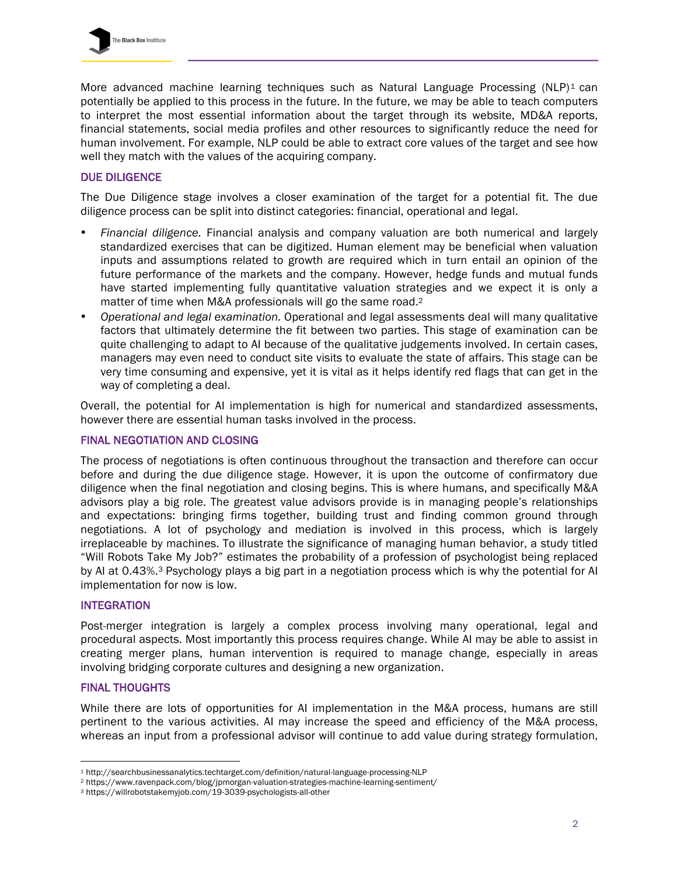More advanced machine learning techniques such as Natural Language Processing  $(NLP)^1$  can potentially be applied to this process in the future. In the future, we may be able to teach computers to interpret the most essential information about the target through its website, MD&A reports, financial statements, social media profiles and other resources to significantly reduce the need for human involvement. For example, NLP could be able to extract core values of the target and see how well they match with the values of the acquiring company.

# DUE DILIGENCE

The Due Diligence stage involves a closer examination of the target for a potential fit. The due diligence process can be split into distinct categories: financial, operational and legal.

- *Financial diligence.* Financial analysis and company valuation are both numerical and largely standardized exercises that can be digitized. Human element may be beneficial when valuation inputs and assumptions related to growth are required which in turn entail an opinion of the future performance of the markets and the company. However, hedge funds and mutual funds have started implementing fully quantitative valuation strategies and we expect it is only a matter of time when M&A professionals will go the same road.<sup>2</sup>
- *Operational and legal examination.* Operational and legal assessments deal will many qualitative factors that ultimately determine the fit between two parties. This stage of examination can be quite challenging to adapt to AI because of the qualitative judgements involved. In certain cases, managers may even need to conduct site visits to evaluate the state of affairs. This stage can be very time consuming and expensive, yet it is vital as it helps identify red flags that can get in the way of completing a deal.

Overall, the potential for AI implementation is high for numerical and standardized assessments, however there are essential human tasks involved in the process.

# FINAL NEGOTIATION AND CLOSING

The process of negotiations is often continuous throughout the transaction and therefore can occur before and during the due diligence stage. However, it is upon the outcome of confirmatory due diligence when the final negotiation and closing begins. This is where humans, and specifically M&A advisors play a big role. The greatest value advisors provide is in managing people's relationships and expectations: bringing firms together, building trust and finding common ground through negotiations. A lot of psychology and mediation is involved in this process, which is largely irreplaceable by machines. To illustrate the significance of managing human behavior, a study titled "Will Robots Take My Job?" estimates the probability of a profession of psychologist being replaced by AI at 0.43%.3 Psychology plays a big part in a negotiation process which is why the potential for AI implementation for now is low.

### INTEGRATION

Post-merger integration is largely a complex process involving many operational, legal and procedural aspects. Most importantly this process requires change. While AI may be able to assist in creating merger plans, human intervention is required to manage change, especially in areas involving bridging corporate cultures and designing a new organization.

### FINAL THOUGHTS

 

While there are lots of opportunities for AI implementation in the M&A process, humans are still pertinent to the various activities. AI may increase the speed and efficiency of the M&A process, whereas an input from a professional advisor will continue to add value during strategy formulation,

<sup>1</sup> http://searchbusinessanalytics.techtarget.com/definition/natural-language-processing-NLP

<sup>2</sup> https://www.ravenpack.com/blog/jpmorgan-valuation-strategies-machine-learning-sentiment/

<sup>3</sup> https://willrobotstakemyjob.com/19-3039-psychologists-all-other